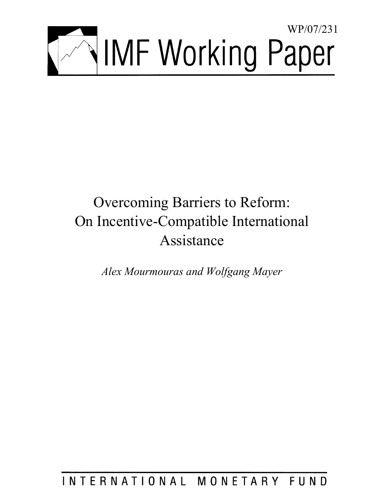

# Overcoming Barriers to Reform: On Incentive-Compatible International Assistance

*Alex Mourmouras and Wolfgang Mayer* 

INTERNATIONAL MONETARY FUND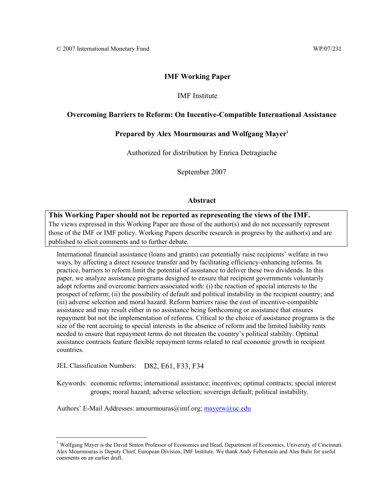## **IMF Working Paper**

## IMF Institute

## **Overcoming Barriers to Reform: On Incentive-Compatible International Assistance**

## **Prepared by Alex Mourmouras and Wolfgang Mayer1**

Authorized for distribution by Enrica Detragiache

September 2007

## **Abstract**

## **This Working Paper should not be reported as representing the views of the IMF.** The views expressed in this Working Paper are those of the author(s) and do not necessarily represent those of the IMF or IMF policy. Working Papers describe research in progress by the author(s) and are published to elicit comments and to further debate.

International financial assistance (loans and grants) can potentially raise recipients' welfare in two ways, by affecting a direct resource transfer and by facilitating efficiency-enhancing reforms. In practice, barriers to reform limit the potential of assistance to deliver these two dividends. In this paper, we analyze assistance programs designed to ensure that recipient governments voluntarily adopt reforms and overcome barriers associated with: (i) the reaction of special interests to the prospect of reform; (ii) the possibility of default and political instability in the recipient country; and (iii) adverse selection and moral hazard. Reform barriers raise the cost of incentive-compatible assistance and may result either in no assistance being forthcoming or assistance that ensures repayment but not the implementation of reforms. Critical to the choice of assistance programs is the size of the rent accruing to special interests in the absence of reform and the limited liability rents needed to ensure that repayment terms do not threaten the country's political stability. Optimal assistance contracts feature flexible repayment terms related to real economic growth in recipient countries.

JEL Classification Numbers: D82, E61, F33, F34

 $\overline{a}$ 

Keywords: economic reforms; international assistance; incentives; optimal contracts; special interest groups; moral hazard; adverse selection; sovereign default; political instability.

Authors' E-Mail Addresses: amourmouras@imf.org; mayerw@uc.edu

 $<sup>1</sup>$  Wolfgang Mayer is the David Sinton Professor of Economics and Head, Department of Economics, University of Cincinnati.</sup> Alex Mourmouras is Deputy Chief, European Division, IMF Institute. We thank Andy Feltenstein and Ales Bulir for useful comments on an earlier draft.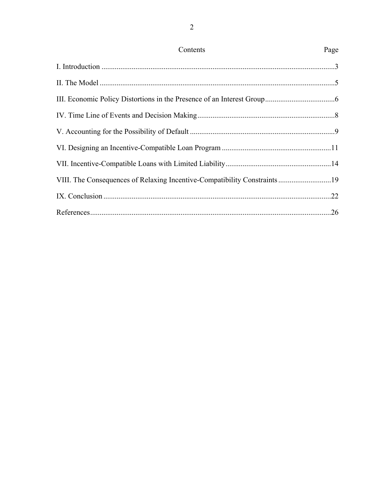| Contents                                                                 | Page |
|--------------------------------------------------------------------------|------|
|                                                                          |      |
|                                                                          |      |
|                                                                          |      |
|                                                                          |      |
|                                                                          |      |
|                                                                          |      |
|                                                                          |      |
| VIII. The Consequences of Relaxing Incentive-Compatibility Constraints19 |      |
|                                                                          |      |
|                                                                          |      |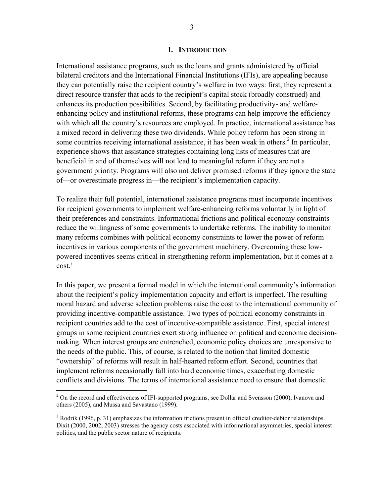#### **I. INTRODUCTION**

International assistance programs, such as the loans and grants administered by official bilateral creditors and the International Financial Institutions (IFIs), are appealing because they can potentially raise the recipient country's welfare in two ways: first, they represent a direct resource transfer that adds to the recipient's capital stock (broadly construed) and enhances its production possibilities. Second, by facilitating productivity- and welfareenhancing policy and institutional reforms, these programs can help improve the efficiency with which all the country's resources are employed. In practice, international assistance has a mixed record in delivering these two dividends. While policy reform has been strong in some countries receiving international assistance, it has been weak in others. $^{2}$  In particular, experience shows that assistance strategies containing long lists of measures that are beneficial in and of themselves will not lead to meaningful reform if they are not a government priority. Programs will also not deliver promised reforms if they ignore the state of—or overestimate progress in—the recipient's implementation capacity.

To realize their full potential, international assistance programs must incorporate incentives for recipient governments to implement welfare-enhancing reforms voluntarily in light of their preferences and constraints. Informational frictions and political economy constraints reduce the willingness of some governments to undertake reforms. The inability to monitor many reforms combines with political economy constraints to lower the power of reform incentives in various components of the government machinery. Overcoming these lowpowered incentives seems critical in strengthening reform implementation, but it comes at a  $cost.<sup>3</sup>$ 

In this paper, we present a formal model in which the international community's information about the recipient's policy implementation capacity and effort is imperfect. The resulting moral hazard and adverse selection problems raise the cost to the international community of providing incentive-compatible assistance. Two types of political economy constraints in recipient countries add to the cost of incentive-compatible assistance. First, special interest groups in some recipient countries exert strong influence on political and economic decisionmaking. When interest groups are entrenched, economic policy choices are unresponsive to the needs of the public. This, of course, is related to the notion that limited domestic "ownership" of reforms will result in half-hearted reform effort. Second, countries that implement reforms occasionally fall into hard economic times, exacerbating domestic conflicts and divisions. The terms of international assistance need to ensure that domestic

 $\overline{a}$ 

 $2$  On the record and effectiveness of IFI-supported programs, see Dollar and Svensson (2000), Ivanova and others (2005), and Mussa and Savastano (1999).

 $3$  Rodrik (1996, p. 31) emphasizes the information frictions present in official creditor-debtor relationships. Dixit (2000, 2002, 2003) stresses the agency costs associated with informational asymmetries, special interest politics, and the public sector nature of recipients.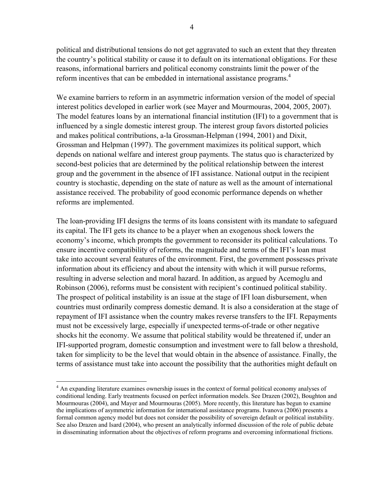political and distributional tensions do not get aggravated to such an extent that they threaten the country's political stability or cause it to default on its international obligations. For these reasons, informational barriers and political economy constraints limit the power of the reform incentives that can be embedded in international assistance programs.<sup>4</sup>

We examine barriers to reform in an asymmetric information version of the model of special interest politics developed in earlier work (see Mayer and Mourmouras, 2004, 2005, 2007). The model features loans by an international financial institution (IFI) to a government that is influenced by a single domestic interest group. The interest group favors distorted policies and makes political contributions, a-la Grossman-Helpman (1994, 2001) and Dixit, Grossman and Helpman (1997). The government maximizes its political support, which depends on national welfare and interest group payments. The status quo is characterized by second-best policies that are determined by the political relationship between the interest group and the government in the absence of IFI assistance. National output in the recipient country is stochastic, depending on the state of nature as well as the amount of international assistance received. The probability of good economic performance depends on whether reforms are implemented.

The loan-providing IFI designs the terms of its loans consistent with its mandate to safeguard its capital. The IFI gets its chance to be a player when an exogenous shock lowers the economy's income, which prompts the government to reconsider its political calculations. To ensure incentive compatibility of reforms, the magnitude and terms of the IFI's loan must take into account several features of the environment. First, the government possesses private information about its efficiency and about the intensity with which it will pursue reforms, resulting in adverse selection and moral hazard. In addition, as argued by Acemoglu and Robinson (2006), reforms must be consistent with recipient's continued political stability. The prospect of political instability is an issue at the stage of IFI loan disbursement, when countries must ordinarily compress domestic demand. It is also a consideration at the stage of repayment of IFI assistance when the country makes reverse transfers to the IFI. Repayments must not be excessively large, especially if unexpected terms-of-trade or other negative shocks hit the economy. We assume that political stability would be threatened if, under an IFI-supported program, domestic consumption and investment were to fall below a threshold, taken for simplicity to be the level that would obtain in the absence of assistance. Finally, the terms of assistance must take into account the possibility that the authorities might default on

<sup>&</sup>lt;sup>4</sup> An expanding literature examines ownership issues in the context of formal political economy analyses of conditional lending. Early treatments focused on perfect information models. See Drazen (2002), Boughton and Mourmouras (2004), and Mayer and Mourmouras (2005). More recently, this literature has begun to examine the implications of asymmetric information for international assistance programs. Ivanova (2006) presents a formal common agency model but does not consider the possibility of sovereign default or political instability. See also Drazen and Isard (2004), who present an analytically informed discussion of the role of public debate in disseminating information about the objectives of reform programs and overcoming informational frictions.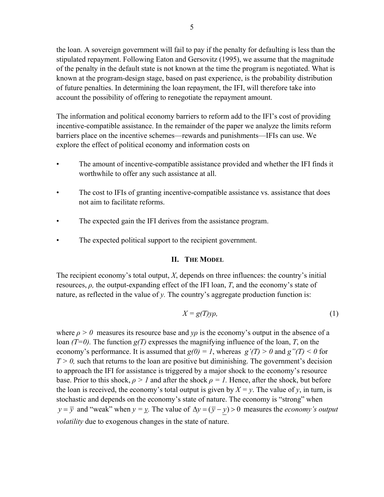the loan. A sovereign government will fail to pay if the penalty for defaulting is less than the stipulated repayment. Following Eaton and Gersovitz (1995), we assume that the magnitude of the penalty in the default state is not known at the time the program is negotiated. What is known at the program-design stage, based on past experience, is the probability distribution of future penalties. In determining the loan repayment, the IFI, will therefore take into account the possibility of offering to renegotiate the repayment amount.

The information and political economy barriers to reform add to the IFI's cost of providing incentive-compatible assistance. In the remainder of the paper we analyze the limits reform barriers place on the incentive schemes—rewards and punishments—IFIs can use. We explore the effect of political economy and information costs on

- The amount of incentive-compatible assistance provided and whether the IFI finds it worthwhile to offer any such assistance at all.
- The cost to IFIs of granting incentive-compatible assistance vs. assistance that does not aim to facilitate reforms.
- The expected gain the IFI derives from the assistance program.
- The expected political support to the recipient government.

## **II. THE MODEL**

The recipient economy's total output, *X*, depends on three influences: the country's initial resources, *ρ,* the output-expanding effect of the IFI loan, *T*, and the economy's state of nature, as reflected in the value of *y.* The country's aggregate production function is:

$$
X = g(T)y\rho,\tag{1}
$$

where  $\rho > 0$  measures its resource base and  $\gamma \rho$  is the economy's output in the absence of a loan  $(T=0)$ . The function  $g(T)$  expresses the magnifying influence of the loan, *T*, on the economy's performance. It is assumed that  $g(0) = 1$ , whereas  $g'(T) > 0$  and  $g''(T) < 0$  for  $T > 0$ , such that returns to the loan are positive but diminishing. The government's decision to approach the IFI for assistance is triggered by a major shock to the economy's resource base. Prior to this shock,  $\rho > 1$  and after the shock  $\rho = 1$ . Hence, after the shock, but before the loan is received, the economy's total output is given by  $X = y$ . The value of y, in turn, is stochastic and depends on the economy's state of nature. The economy is "strong" when *y* =  $\overline{y}$  and "weak" when *y* = <u>y</u>. The value of  $\Delta y = (\overline{y} - y) > 0$  measures the *economy's output volatility* due to exogenous changes in the state of nature.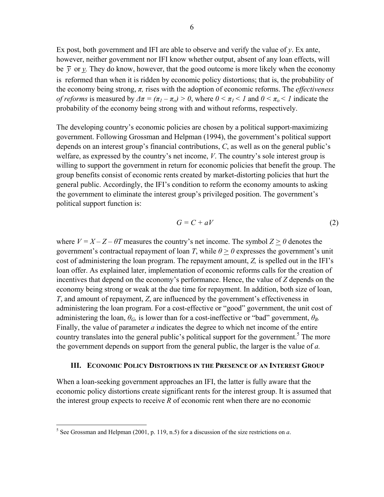Ex post, both government and IFI are able to observe and verify the value of  $y$ . Ex ante, however, neither government nor IFI know whether output, absent of any loan effects, will be  $\bar{y}$  or *y*. They do know, however, that the good outcome is more likely when the economy is reformed than when it is ridden by economic policy distortions; that is, the probability of the economy being strong, *π,* rises with the adoption of economic reforms. The *effectiveness of reforms* is measured by  $\Delta \pi = (\pi_I - \pi_o) > 0$ , where  $0 \le \pi_I \le I$  and  $0 \le \pi_o \le I$  indicate the probability of the economy being strong with and without reforms, respectively.

The developing country's economic policies are chosen by a political support-maximizing government. Following Grossman and Helpman (1994), the government's political support depends on an interest group's financial contributions, *C*, as well as on the general public's welfare, as expressed by the country's net income, *V*. The country's sole interest group is willing to support the government in return for economic policies that benefit the group. The group benefits consist of economic rents created by market-distorting policies that hurt the general public. Accordingly, the IFI's condition to reform the economy amounts to asking the government to eliminate the interest group's privileged position. The government's political support function is:

$$
G = C + aV \tag{2}
$$

where  $V = X - Z - \theta T$  measures the country's net income. The symbol  $Z > 0$  denotes the government's contractual repayment of loan *T*, while  $\theta \ge 0$  expresses the government's unit cost of administering the loan program. The repayment amount, *Z,* is spelled out in the IFI's loan offer. As explained later, implementation of economic reforms calls for the creation of incentives that depend on the economy's performance. Hence, the value of *Z* depends on the economy being strong or weak at the due time for repayment. In addition, both size of loan, *T*, and amount of repayment, *Z*, are influenced by the government's effectiveness in administering the loan program. For a cost-effective or "good" government, the unit cost of administering the loan,  $\theta_G$ , is lower than for a cost-ineffective or "bad" government,  $\theta_B$ . Finally, the value of parameter *a* indicates the degree to which net income of the entire country translates into the general public's political support for the government.<sup>5</sup> The more the government depends on support from the general public, the larger is the value of *a.* 

### **III. ECONOMIC POLICY DISTORTIONS IN THE PRESENCE OF AN INTEREST GROUP**

When a loan-seeking government approaches an IFI, the latter is fully aware that the economic policy distortions create significant rents for the interest group. It is assumed that the interest group expects to receive *R* of economic rent when there are no economic

 5 See Grossman and Helpman (2001, p. 119, n.5) for a discussion of the size restrictions on *a*.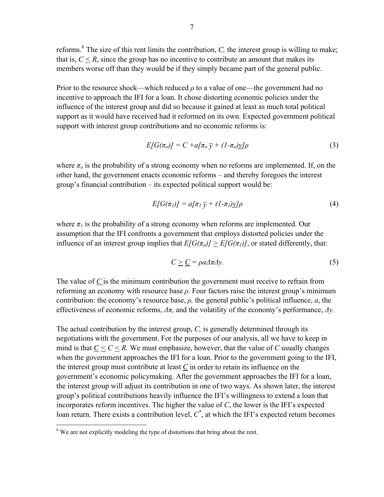reforms.<sup>6</sup> The size of this rent limits the contribution,  $C$ , the interest group is willing to make; that is,  $C \leq R$ , since the group has no incentive to contribute an amount that makes its members worse off than they would be if they simply became part of the general public.

Prior to the resource shock—which reduced  $\rho$  to a value of one—the government had no incentive to approach the IFI for a loan. It chose distorting economic policies under the influence of the interest group and did so because it gained at least as much total political support as it would have received had it reformed on its own. Expected government political support with interest group contributions and no economic reforms is:

$$
E[G(\pi_o)] = C + a[\pi_o \overline{y} + (1 - \pi_o)y]\rho
$$
\n(3)

where  $\pi_o$  is the probability of a strong economy when no reforms are implemented. If, on the other hand, the government enacts economic reforms – and thereby foregoes the interest group's financial contribution – its expected political support would be:

$$
E[G(\pi_I)] = a[\pi_I \overline{y} + (I - \pi_I) \underline{y}]\rho
$$
\n(4)

where  $\pi_l$  is the probability of a strong economy when reforms are implemented. Our assumption that the IFI confronts a government that employs distorted policies under the influence of an interest group implies that  $E[G(\pi_o)] \geq E[G(\pi_I)]$ , or stated differently, that:

$$
C \geq \underline{C} = \rho a \Delta \pi \Delta y. \tag{5}
$$

The value of *C* is the minimum contribution the government must receive to refrain from reforming an economy with resource base  $\rho$ . Four factors raise the interest group's minimum contribution: the economy's resource base, *ρ,* the general public's political influence, *a*, the effectiveness of economic reforms, *Δπ,* and the volatility of the economy's performance, *Δy.* 

The actual contribution by the interest group, *C,* is generally determined through its negotiations with the government. For the purposes of our analysis, all we have to keep in mind is that  $C \leq C \leq R$ . We must emphasize, however, that the value of *C* usually changes when the government approaches the IFI for a loan. Prior to the government going to the IFI, the interest group must contribute at least *C* in order to retain its influence on the government's economic policymaking. After the government approaches the IFI for a loan, the interest group will adjust its contribution in one of two ways. As shown later, the interest group's political contributions heavily influence the IFI's willingness to extend a loan that incorporates reform incentives. The higher the value of *C*, the lower is the IFI's expected loan return. There exists a contribution level,  $C^*$ , at which the IFI's expected return becomes

<sup>&</sup>lt;sup>6</sup>We are not explicitly modeling the type of distortions that bring about the rent.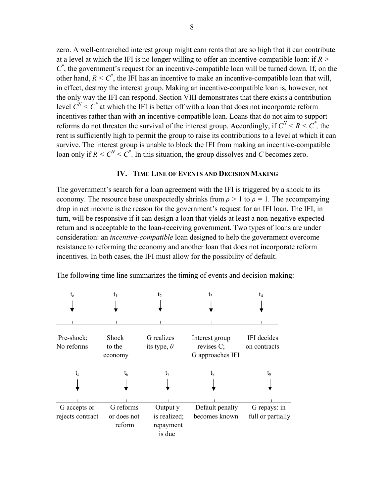zero. A well-entrenched interest group might earn rents that are so high that it can contribute at a level at which the IFI is no longer willing to offer an incentive-compatible loan: if *R >*   $C^*$ , the government's request for an incentive-compatible loan will be turned down. If, on the other hand,  $R \leq C^*$ , the IFI has an incentive to make an incentive-compatible loan that will, in effect, destroy the interest group. Making an incentive-compatible loan is, however, not the only way the IFI can respond. Section VIII demonstrates that there exists a contribution level  $C^N$  <  $C^*$  at which the IFI is better off with a loan that does not incorporate reform incentives rather than with an incentive-compatible loan. Loans that do not aim to support reforms do not threaten the survival of the interest group. Accordingly, if  $C^N < R < C^*$ , the rent is sufficiently high to permit the group to raise its contributions to a level at which it can survive. The interest group is unable to block the IFI from making an incentive-compatible loan only if  $R < C^N < C^*$ . In this situation, the group dissolves and *C* becomes zero.

# **IV. TIME LINE OF EVENTS AND DECISION MAKING**

The government's search for a loan agreement with the IFI is triggered by a shock to its economy. The resource base unexpectedly shrinks from  $\rho > 1$  to  $\rho = 1$ . The accompanying drop in net income is the reason for the government's request for an IFI loan. The IFI, in turn, will be responsive if it can design a loan that yields at least a non-negative expected return and is acceptable to the loan-receiving government. Two types of loans are under consideration: an *incentive-compatible* loan designed to help the government overcome resistance to reforming the economy and another loan that does not incorporate reform incentives. In both cases, the IFI must allow for the possibility of default.

| $\mathfrak{t}_{\rm o}$   | tı                                | t2                                  | t٩                                                  |                             |
|--------------------------|-----------------------------------|-------------------------------------|-----------------------------------------------------|-----------------------------|
|                          |                                   |                                     |                                                     |                             |
|                          |                                   |                                     |                                                     |                             |
| Pre-shock;<br>No reforms | <b>Shock</b><br>to the<br>economy | G realizes<br>its type, $\theta$    | Interest group<br>revises $C$ ;<br>G approaches IFI | IFI decides<br>on contracts |
| $t_5$                    | $\mathfrak{t}_6$                  | $t_7$                               | $t_8$                                               | to                          |
|                          |                                   |                                     |                                                     |                             |
|                          |                                   |                                     |                                                     |                             |
| G accepts or             | G reforms                         | Output y                            | Default penalty                                     | G repays: in                |
| rejects contract         | or does not<br>reform             | is realized;<br>repayment<br>is due | becomes known                                       | full or partially           |

The following time line summarizes the timing of events and decision-making: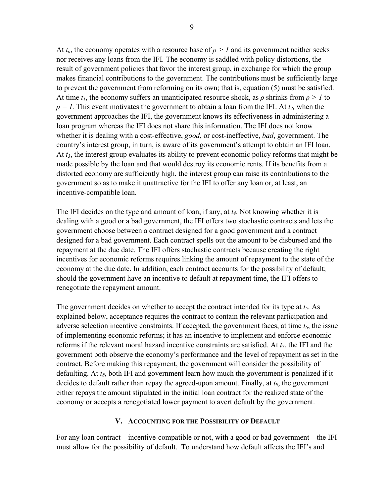At  $t_0$ , the economy operates with a resource base of  $\rho > 1$  and its government neither seeks nor receives any loans from the IFI*.* The economy is saddled with policy distortions, the result of government policies that favor the interest group, in exchange for which the group makes financial contributions to the government. The contributions must be sufficiently large to prevent the government from reforming on its own; that is, equation (5) must be satisfied. At time  $t_1$ , the economy suffers an unanticipated resource shock, as  $\rho$  shrinks from  $\rho > 1$  to  $\rho = I$ . This event motivates the government to obtain a loan from the IFI. At  $t_2$ , when the government approaches the IFI, the government knows its effectiveness in administering a loan program whereas the IFI does not share this information. The IFI does not know whether it is dealing with a cost-effective, *good*, or cost-ineffective, *bad*, government. The country's interest group, in turn, is aware of its government's attempt to obtain an IFI loan. At *t3*, the interest group evaluates its ability to prevent economic policy reforms that might be made possible by the loan and that would destroy its economic rents. If its benefits from a distorted economy are sufficiently high, the interest group can raise its contributions to the government so as to make it unattractive for the IFI to offer any loan or, at least, an incentive-compatible loan.

The IFI decides on the type and amount of loan, if any, at *t4*. Not knowing whether it is dealing with a good or a bad government, the IFI offers two stochastic contracts and lets the government choose between a contract designed for a good government and a contract designed for a bad government. Each contract spells out the amount to be disbursed and the repayment at the due date. The IFI offers stochastic contracts because creating the right incentives for economic reforms requires linking the amount of repayment to the state of the economy at the due date. In addition, each contract accounts for the possibility of default; should the government have an incentive to default at repayment time, the IFI offers to renegotiate the repayment amount.

The government decides on whether to accept the contract intended for its type at *t5*. As explained below, acceptance requires the contract to contain the relevant participation and adverse selection incentive constraints. If accepted, the government faces, at time  $t<sub>6</sub>$ , the issue of implementing economic reforms; it has an incentive to implement and enforce economic reforms if the relevant moral hazard incentive constraints are satisfied. At *t7*, the IFI and the government both observe the economy's performance and the level of repayment as set in the contract. Before making this repayment, the government will consider the possibility of defaulting. At  $t_8$ , both IFI and government learn how much the government is penalized if it decides to default rather than repay the agreed-upon amount. Finally, at *t9*, the government either repays the amount stipulated in the initial loan contract for the realized state of the economy or accepts a renegotiated lower payment to avert default by the government.

# **V. ACCOUNTING FOR THE POSSIBILITY OF DEFAULT**

For any loan contract—incentive-compatible or not, with a good or bad government—the IFI must allow for the possibility of default. To understand how default affects the IFI's and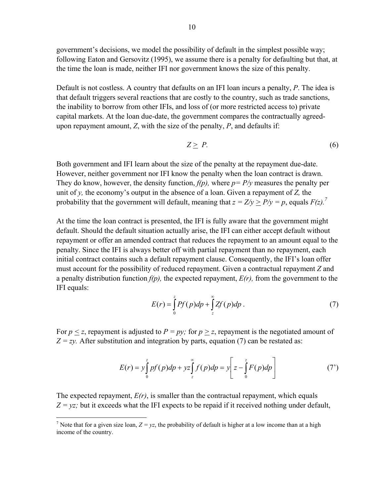government's decisions, we model the possibility of default in the simplest possible way; following Eaton and Gersovitz (1995), we assume there is a penalty for defaulting but that, at the time the loan is made, neither IFI nor government knows the size of this penalty.

Default is not costless. A country that defaults on an IFI loan incurs a penalty, *P*. The idea is that default triggers several reactions that are costly to the country, such as trade sanctions, the inability to borrow from other IFIs, and loss of (or more restricted access to) private capital markets. At the loan due-date, the government compares the contractually agreedupon repayment amount, *Z*, with the size of the penalty, *P*, and defaults if:

$$
Z \geq P. \tag{6}
$$

Both government and IFI learn about the size of the penalty at the repayment due-date. However, neither government nor IFI know the penalty when the loan contract is drawn. They do know, however, the density function,  $f(p)$ , where  $p = P/y$  measures the penalty per unit of *y,* the economy's output in the absence of a loan. Given a repayment of *Z,* the probability that the government will default, meaning that  $z = Z/y > P/y = p$ , equals  $F(z)$ .<sup>7</sup>

At the time the loan contract is presented, the IFI is fully aware that the government might default. Should the default situation actually arise, the IFI can either accept default without repayment or offer an amended contract that reduces the repayment to an amount equal to the penalty. Since the IFI is always better off with partial repayment than no repayment, each initial contract contains such a default repayment clause. Consequently, the IFI's loan offer must account for the possibility of reduced repayment. Given a contractual repayment *Z* and a penalty distribution function *f(p),* the expected repayment, *E(r),* from the government to the IFI equals:

$$
E(r) = \int_{0}^{z} Pf(p)dp + \int_{z}^{\infty} Zf(p)dp.
$$
 (7)

For  $p \le z$ , repayment is adjusted to  $P = py$ ; for  $p > z$ , repayment is the negotiated amount of  $Z = zy$ . After substitution and integration by parts, equation (7) can be restated as:

$$
E(r) = y \int_{0}^{z} pf(p) dp + yz \int_{z}^{\infty} f(p) dp = y \left[ z - \int_{0}^{z} F(p) dp \right]
$$
 (7')

The expected repayment,  $E(r)$ , is smaller than the contractual repayment, which equals  $Z = yz$ ; but it exceeds what the IFI expects to be repaid if it received nothing under default,

<sup>&</sup>lt;sup>7</sup> Note that for a given size loan,  $Z = yz$ , the probability of default is higher at a low income than at a high income of the country.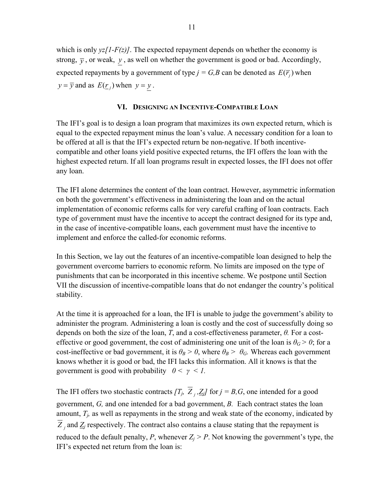which is only  $yz/I-F(z)$ . The expected repayment depends on whether the economy is strong,  $\bar{y}$ , or weak,  $y$ , as well on whether the government is good or bad. Accordingly, expected repayments by a government of type  $j = G, B$  can be denoted as  $E(\overline{r})$  when  $y = \overline{y}$  and as  $E(\underline{r}_i)$  when  $y = y$ .

## **VI. DESIGNING AN INCENTIVE-COMPATIBLE LOAN**

The IFI's goal is to design a loan program that maximizes its own expected return, which is equal to the expected repayment minus the loan's value. A necessary condition for a loan to be offered at all is that the IFI's expected return be non-negative. If both incentivecompatible and other loans yield positive expected returns, the IFI offers the loan with the highest expected return. If all loan programs result in expected losses, the IFI does not offer any loan.

The IFI alone determines the content of the loan contract. However, asymmetric information on both the government's effectiveness in administering the loan and on the actual implementation of economic reforms calls for very careful crafting of loan contracts. Each type of government must have the incentive to accept the contract designed for its type and, in the case of incentive-compatible loans, each government must have the incentive to implement and enforce the called-for economic reforms.

In this Section, we lay out the features of an incentive-compatible loan designed to help the government overcome barriers to economic reform. No limits are imposed on the type of punishments that can be incorporated in this incentive scheme. We postpone until Section VII the discussion of incentive-compatible loans that do not endanger the country's political stability.

At the time it is approached for a loan, the IFI is unable to judge the government's ability to administer the program. Administering a loan is costly and the cost of successfully doing so depends on both the size of the loan, *T*, and a cost-effectiveness parameter, *θ.* For a costeffective or good government, the cost of administering one unit of the loan is  $\theta$ <sup>*G*</sup> > 0; for a cost-ineffective or bad government, it is  $\theta_B > 0$ , where  $\theta_B > \theta_G$ . Whereas each government knows whether it is good or bad, the IFI lacks this information. All it knows is that the government is good with probability  $0 \leq \gamma \leq 1$ .

The IFI offers two stochastic contracts  $[T_j, \overline{Z}_j, Z_j]$  for  $j = B, G$ , one intended for a good government, *G,* and one intended for a bad government, *B.* Each contract states the loan amount,  $T_i$ , as well as repayments in the strong and weak state of the economy, indicated by  $\overline{Z}_i$  and  $Z_j$  respectively. The contract also contains a clause stating that the repayment is reduced to the default penalty, *P*, whenever  $Z_i > P$ . Not knowing the government's type, the IFI's expected net return from the loan is: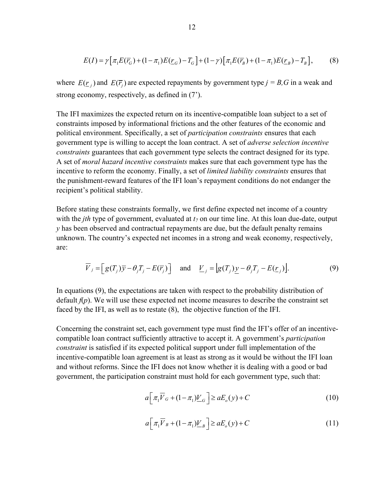$$
E(I) = \gamma \left[ \pi_1 E(\overline{r}_G) + (1 - \pi_1) E(\underline{r}_G) - T_G \right] + (1 - \gamma) \left[ \pi_1 E(\overline{r}_B) + (1 - \pi_1) E(\underline{r}_B) - T_B \right],\tag{8}
$$

where  $E(\underline{r}_i)$  and  $E(\overline{r}_i)$  are expected repayments by government type  $j = B$ , G in a weak and strong economy, respectively, as defined in (7').

The IFI maximizes the expected return on its incentive-compatible loan subject to a set of constraints imposed by informational frictions and the other features of the economic and political environment. Specifically, a set of *participation constraints* ensures that each government type is willing to accept the loan contract. A set of *adverse selection incentive constraints* guarantees that each government type selects the contract designed for its type. A set of *moral hazard incentive constraints* makes sure that each government type has the incentive to reform the economy. Finally, a set of *limited liability constraints* ensures that the punishment-reward features of the IFI loan's repayment conditions do not endanger the recipient's political stability.

Before stating these constraints formally, we first define expected net income of a country with the *jth* type of government, evaluated at  $t_7$  on our time line. At this loan due-date, output *y* has been observed and contractual repayments are due, but the default penalty remains unknown. The country's expected net incomes in a strong and weak economy, respectively, are:

$$
\overline{V}_j = \left[ g(T_j) \overline{y} - \theta_j T_j - E(\overline{r}_j) \right] \quad \text{and} \quad \underline{V}_j = \left[ g(T_j) \underline{y} - \theta_j T_j - E(\underline{r}_j) \right]. \tag{9}
$$

In equations (9), the expectations are taken with respect to the probability distribution of default  $f(p)$ . We will use these expected net income measures to describe the constraint set faced by the IFI, as well as to restate (8), the objective function of the IFI.

Concerning the constraint set, each government type must find the IFI's offer of an incentivecompatible loan contract sufficiently attractive to accept it. A government's *participation constraint* is satisfied if its expected political support under full implementation of the incentive-compatible loan agreement is at least as strong as it would be without the IFI loan and without reforms. Since the IFI does not know whether it is dealing with a good or bad government, the participation constraint must hold for each government type, such that:

$$
a\left[\pi_1 \overline{V}_G + (1 - \pi_1)\underline{V}_G\right] \ge aE_o(y) + C \tag{10}
$$

$$
a\left[\pi_1 \overline{V}_B + (1 - \pi_1)\underline{V}_B\right] \ge aE_o(y) + C \tag{11}
$$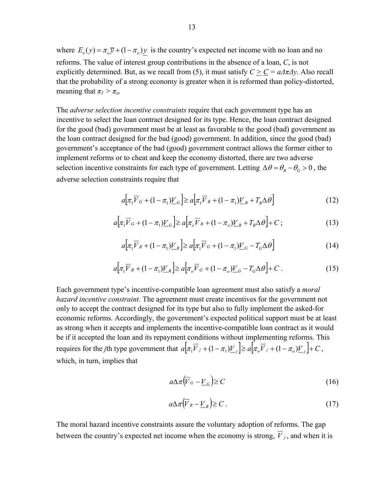where  $E_o(y) = \pi_o \overline{y} + (1 - \pi_o) y$  is the country's expected net income with no loan and no reforms. The value of interest group contributions in the absence of a loan, *C*, is not explicitly determined. But, as we recall from (5), it must satisfy  $C > C = a/\pi/2y$ . Also recall that the probability of a strong economy is greater when it is reformed than policy-distorted, meaning that  $\pi_l > \pi_o$ .

The *adverse selection incentive constraints* require that each government type has an incentive to select the loan contract designed for its type. Hence, the loan contract designed for the good (bad) government must be at least as favorable to the good (bad) government as the loan contract designed for the bad (good) government. In addition, since the good (bad) government's acceptance of the bad (good) government contract allows the former either to implement reforms or to cheat and keep the economy distorted, there are two adverse selection incentive constraints for each type of government. Letting  $\Delta \theta = \theta_B - \theta_G > 0$ , the adverse selection constraints require that

$$
a\left[\pi_1 \overline{V}_G + (1 - \pi_1)\underline{V}_G\right] \ge a\left[\pi_1 \overline{V}_B + (1 - \pi_1)\underline{V}_B + T_B \Delta \theta\right]
$$
\n(12)

$$
a\Big[\pi_1 \overline{V}_G + (1 - \pi_1) \underline{V}_G\Big] \ge a\Big[\pi_o \overline{V}_B + (1 - \pi_o) \underline{V}_B + T_B \Delta \theta\Big] + C\,,\tag{13}
$$

$$
a\left[\pi_1 \overline{V}_B + (1 - \pi_1)\underline{V}_B\right] \ge a\left[\pi_1 \overline{V}_G + (1 - \pi_1)\underline{V}_G - T_G \Delta \theta\right]
$$
 (14)

$$
a\Big[\pi_1 \overline{V}_B + (1 - \pi_1) \underline{V}_B\Big] \ge a\Big[\pi_o \overline{V}_G + (1 - \pi_o) \underline{V}_G - T_G \Delta \theta\Big] + C \ . \tag{15}
$$

Each government type's incentive-compatible loan agreement must also satisfy a *moral hazard incentive constraint*. The agreement must create incentives for the government not only to accept the contract designed for its type but also to fully implement the asked-for economic reforms. Accordingly, the government's expected political support must be at least as strong when it accepts and implements the incentive-compatible loan contract as it would be if it accepted the loan and its repayment conditions without implementing reforms. This requires for the *j*th type government that  $a\left[\pi_1\overline{V}_j + (1-\pi_1)\underline{V}_j\right] \ge a\left[\pi_0\overline{V}_j + (1-\pi_0)\underline{V}_j\right] + C$ , which, in turn, implies that

$$
a\Delta\pi \left(\overline{V}_G - \underline{V}_G\right) \ge C \tag{16}
$$

$$
a\Delta\pi \left(\overline{V}_B - \underline{V}_B\right) \ge C \tag{17}
$$

The moral hazard incentive constraints assure the voluntary adoption of reforms. The gap between the country's expected net income when the economy is strong,  $\overline{V}_j$ , and when it is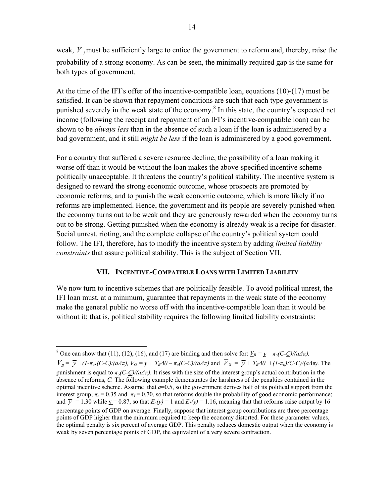weak, *V*, must be sufficiently large to entice the government to reform and, thereby, raise the probability of a strong economy. As can be seen, the minimally required gap is the same for both types of government.

At the time of the IFI's offer of the incentive-compatible loan, equations (10)-(17) must be satisfied. It can be shown that repayment conditions are such that each type government is punished severely in the weak state of the economy.<sup>8</sup> In this state, the country's expected net income (following the receipt and repayment of an IFI's incentive-compatible loan) can be shown to be *always less* than in the absence of such a loan if the loan is administered by a bad government, and it still *might be less* if the loan is administered by a good government.

For a country that suffered a severe resource decline, the possibility of a loan making it worse off than it would be without the loan makes the above-specified incentive scheme politically unacceptable. It threatens the country's political stability. The incentive system is designed to reward the strong economic outcome, whose prospects are promoted by economic reforms, and to punish the weak economic outcome, which is more likely if no reforms are implemented. Hence, the government and its people are severely punished when the economy turns out to be weak and they are generously rewarded when the economy turns out to be strong. Getting punished when the economy is already weak is a recipe for disaster. Social unrest, rioting, and the complete collapse of the country's political system could follow. The IFI, therefore, has to modify the incentive system by adding *limited liability constraints* that assure political stability. This is the subject of Section VII.

### **VII. INCENTIVE-COMPATIBLE LOANS WITH LIMITED LIABILITY**

We now turn to incentive schemes that are politically feasible. To avoid political unrest, the IFI loan must, at a minimum, guarantee that repayments in the weak state of the economy make the general public no worse off with the incentive-compatible loan than it would be without it; that is, political stability requires the following limited liability constraints:

<sup>&</sup>lt;sup>8</sup> One can show that (11), (12), (16), and (17) are binding and then solve for:  $\underline{V}_B = \underline{y} - \pi_o(C-\underline{C})/(a\Delta\pi)$ ,

 $\overline{V}_B = \overline{V} + (1-\pi_0)(C-C)/(a\Delta\pi)$ ,  $\underline{V}_G = \underline{v} + T_B\Delta\theta - \pi_0(C-C)/(a\Delta\pi)$  and  $\overline{V}_G = \overline{V} + T_B\Delta\theta + (1-\pi_0)(C-C)/(a\Delta\pi)$ . The punishment is equal to  $\pi_o(C-C)/(a\Delta\pi)$ . It rises with the size of the interest group's actual contribution in the absence of reforms, *C.* The following example demonstrates the harshness of the penalties contained in the optimal incentive scheme. Assume that  $a=0.5$ , so the government derives half of its political support from the interest group;  $\pi_0 = 0.35$  and  $\pi_1 = 0.70$ , so that reforms double the probability of good economic performance; and  $\bar{y} = 1.30$  while  $y = 0.87$ , so that  $E_0(y) = 1$  and  $E_1(y) = 1.16$ , meaning that that reforms raise output by 16 percentage points of GDP on average. Finally, suppose that interest group contributions are three percentage points of GDP higher than the minimum required to keep the economy distorted. For these parameter values, the optimal penalty is six percent of average GDP. This penalty reduces domestic output when the economy is weak by seven percentage points of GDP, the equivalent of a very severe contraction.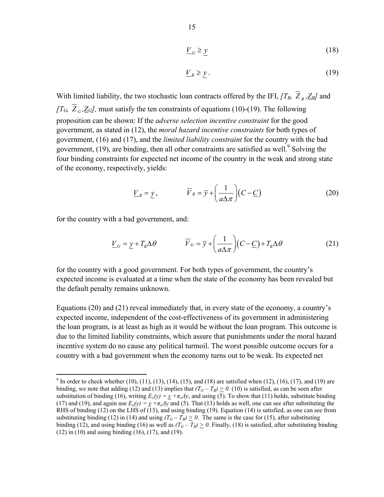$$
\underline{V}_G \ge \underline{y} \tag{18}
$$

$$
\underline{V}_B \ge \underline{y} \,. \tag{19}
$$

With limited liability, the two stochastic loan contracts offered by the IFI,  $T_B$ ,  $\overline{Z}_B$ ,  $Z_B$  and *[T<sub>G</sub>,*  $\overline{Z}_G$ ,  $\underline{Z}_G$ *]*, must satisfy the ten constraints of equations (10)-(19). The following proposition can be shown: If the *adverse selection incentive constraint* for the good government, as stated in (12), the *moral hazard incentive constraints* for both types of government, (16) and (17), and the *limited liability constraint* for the country with the bad government,  $(19)$ , are binding, then all other constraints are satisfied as well.<sup>9</sup> Solving the four binding constraints for expected net income of the country in the weak and strong state of the economy, respectively, yields:

$$
\underline{V}_B = \underline{y}, \qquad \qquad \overline{V}_B = \overline{y} + \left(\frac{1}{a\Delta\pi}\right)(C - \underline{C}) \tag{20}
$$

for the country with a bad government, and:

 $\overline{a}$ 

$$
\underline{V}_G = \underline{y} + T_B \Delta \theta \qquad \qquad \overline{V}_G = \overline{y} + \left(\frac{1}{a\Delta \pi}\right) (C - \underline{C}) + T_B \Delta \theta \qquad (21)
$$

for the country with a good government. For both types of government, the country's expected income is evaluated at a time when the state of the economy has been revealed but the default penalty remains unknown.

Equations (20) and (21) reveal immediately that, in every state of the economy, a country's expected income, independent of the cost-effectiveness of its government in administering the loan program, is at least as high as it would be without the loan program. This outcome is due to the limited liability constraints, which assure that punishments under the moral hazard incentive system do no cause any political turmoil. The worst possible outcome occurs for a country with a bad government when the economy turns out to be weak. Its expected net

<sup>&</sup>lt;sup>9</sup> In order to check whether (10), (11), (13), (14), (15), and (18) are satisfied when (12), (16), (17), and (19) are binding, we note that adding (12) and (13) implies that  $(T_G - T_B) \ge 0$ . (10) is satisfied, as can be seen after substitution of binding (16), writing  $E_o(y) = y + \pi_o 4y$ , and using (5). To show that (11) holds, substitute binding (17) and (19), and again use  $E_o(y) = y + \pi_o 4y$  and (5). That (13) holds as well, one can see after substituting the RHS of binding (12) on the LHS of (13), and using binding (19). Equation (14) is satisfied, as one can see from substituting binding (12) in (14) and using  $(T_G - T_B) \ge 0$ . The same is the case for (15), after substituting binding (12), and using binding (16) as well as  $(T_G - T_B) \ge 0$ . Finally, (18) is satisfied, after substituting binding (12) in (10) and using binding (16), (17), and (19).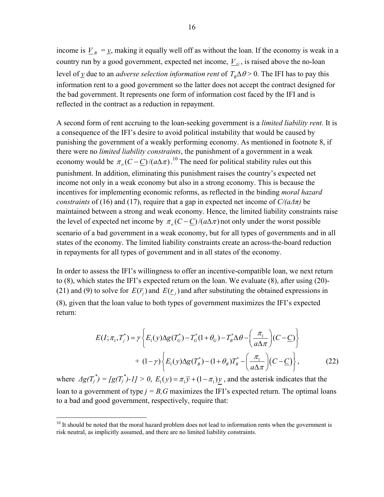income is  $V_B = y$ , making it equally well off as without the loan. If the economy is weak in a country run by a good government, expected net income,  $V_G$ , is raised above the no-loan level of *y* due to an *adverse selection information rent* of  $T_{R}\Delta\theta > 0$ . The IFI has to pay this information rent to a good government so the latter does not accept the contract designed for the bad government. It represents one form of information cost faced by the IFI and is reflected in the contract as a reduction in repayment.

A second form of rent accruing to the loan-seeking government is a *limited liability rent*. It is a consequence of the IFI's desire to avoid political instability that would be caused by punishing the government of a weakly performing economy. As mentioned in footnote 8, if there were no *limited liability constraints*, the punishment of a government in a weak economy would be  $\pi_o(C-\underline{C})/(a\Delta\pi)$ .<sup>10</sup> The need for political stability rules out this punishment. In addition, eliminating this punishment raises the country's expected net income not only in a weak economy but also in a strong economy. This is because the incentives for implementing economic reforms, as reflected in the binding *moral hazard constraints* of (16) and (17), require that a gap in expected net income of  $C/(a\Delta\pi)$  be maintained between a strong and weak economy. Hence, the limited liability constraints raise the level of expected net income by  $\pi_o(C-\underline{C})/(a\Delta\pi)$  not only under the worst possible scenario of a bad government in a weak economy, but for all types of governments and in all states of the economy. The limited liability constraints create an across-the-board reduction in repayments for all types of government and in all states of the economy.

In order to assess the IFI's willingness to offer an incentive-compatible loan, we next return to (8), which states the IFI's expected return on the loan. We evaluate (8), after using (20)- (21) and (9) to solve for  $E(\overline{r_i})$  and  $E(r_i)$  and after substituting the obtained expressions in (8), given that the loan value to both types of government maximizes the IFI's expected return:

$$
E(I; \pi_1, T_j^*) = \gamma \left\{ E_1(y) \Delta g(T_G^*) - T_G^*(1 + \theta_G) - T_B^* \Delta \theta - \left(\frac{\pi_1}{a \Delta \pi}\right) (C - \underline{C}) \right\}
$$
  
+ 
$$
(1 - \gamma) \left\{ E_1(y) \Delta g(T_B^*) - (1 + \theta_B) T_B^* - \left(\frac{\pi_1}{a \Delta \pi}\right) (C - \underline{C}) \right\},
$$
(22)

where  $\Delta g(T_j^*) = [g(T_j^*)-1] > 0$ ,  $E_1(y) = \pi_1 \overline{y} + (1-\pi_1)y$ , and the asterisk indicates that the loan to a government of type  $j = B$ , G maximizes the IFI's expected return. The optimal loans to a bad and good government, respectively, require that:

 $\overline{a}$ 

<sup>&</sup>lt;sup>10</sup> It should be noted that the moral hazard problem does not lead to information rents when the government is risk neutral, as implicitly assumed, and there are no limited liability constraints.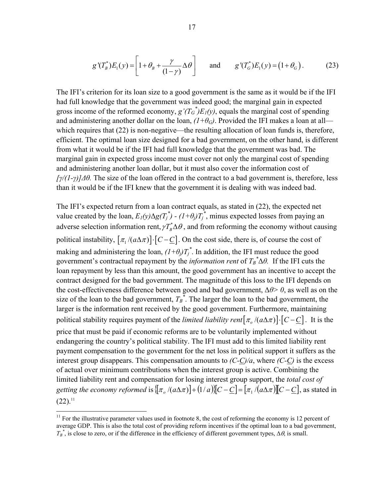$$
g'(T_B^*)E_1(y) = \left[1 + \theta_B + \frac{\gamma}{(1-\gamma)}\Delta\theta\right] \quad \text{and} \quad g'(T_G^*)E_1(y) = \left(1 + \theta_G\right). \tag{23}
$$

The IFI's criterion for its loan size to a good government is the same as it would be if the IFI had full knowledge that the government was indeed good; the marginal gain in expected gross income of the reformed economy,  $g'(T_G^*)E_I(y)$ , equals the marginal cost of spending and administering another dollar on the loan,  $(I+\theta_G)$ . Provided the IFI makes a loan at all which requires that (22) is non-negative—the resulting allocation of loan funds is, therefore, efficient. The optimal loan size designed for a bad government, on the other hand, is different from what it would be if the IFI had full knowledge that the government was bad. The marginal gain in expected gross income must cover not only the marginal cost of spending and administering another loan dollar, but it must also cover the information cost of *[γ/(1-γ)]Δθ.* The size of the loan offered in the contract to a bad government is, therefore, less than it would be if the IFI knew that the government it is dealing with was indeed bad.

The IFI's expected return from a loan contract equals, as stated in (22), the expected net value created by the loan,  $E_I(y) \Delta g(T_j^*) - (I + \theta_j) T_j^*$ , minus expected losses from paying an adverse selection information rent,  $\gamma T_B^* \Delta \theta$ , and from reforming the economy without causing political instability,  $[\pi_1 / (a \Delta \pi)] \cdot [C - C]$ . On the cost side, there is, of course the cost of making and administering the loan,  $(I + \theta_j)T_j^*$ . In addition, the IFI must reduce the good government's contractual repayment by the *information rent* of  $T_B^* \Delta \theta$ . If the IFI cuts the loan repayment by less than this amount, the good government has an incentive to accept the contract designed for the bad government. The magnitude of this loss to the IFI depends on the cost-effectiveness difference between good and bad government, Δ*θ> 0*, as well as on the size of the loan to the bad government,  $T_B^*$ . The larger the loan to the bad government, the larger is the information rent received by the good government. Furthermore, maintaining political stability requires payment of the *limited liability rent*[ $\pi$ <sub>o</sub> /( $a\Delta\pi$ )]⋅[ $C-\underline{C}$ ]. It is the price that must be paid if economic reforms are to be voluntarily implemented without endangering the country's political stability. The IFI must add to this limited liability rent payment compensation to the government for the net loss in political support it suffers as the interest group disappears. This compensation amounts to *(C-C)/a*, where *(C-C)* is the excess of actual over minimum contributions when the interest group is active. Combining the limited liability rent and compensation for losing interest group support, the *total cost of getting the economy reformed* is  $\{\pi_a / (a\Delta\pi)\} + (1/a)\{C - C\} = [\pi_1 / (a\Delta\pi)]\{C - C\}$ , as stated in  $(22).<sup>11</sup>$ 

1

 $11$  For the illustrative parameter values used in footnote 8, the cost of reforming the economy is 12 percent of average GDP. This is also the total cost of providing reform incentives if the optimal loan to a bad government,  $T_B^*$ , is close to zero, or if the difference in the efficiency of different government types,  $\Delta\theta$ , is small.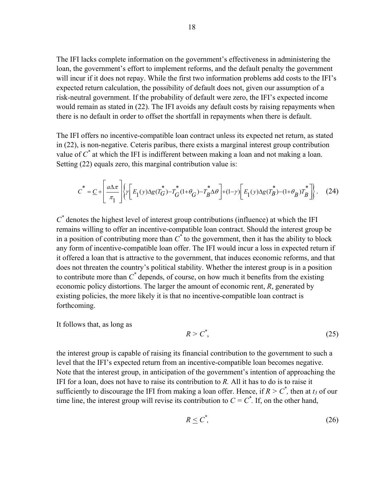The IFI lacks complete information on the government's effectiveness in administering the loan, the government's effort to implement reforms, and the default penalty the government will incur if it does not repay. While the first two information problems add costs to the IFI's expected return calculation, the possibility of default does not, given our assumption of a risk-neutral government. If the probability of default were zero, the IFI's expected income would remain as stated in (22). The IFI avoids any default costs by raising repayments when there is no default in order to offset the shortfall in repayments when there is default.

The IFI offers no incentive-compatible loan contract unless its expected net return, as stated in (22), is non-negative. Ceteris paribus, there exists a marginal interest group contribution value of *C\** at which the IFI is indifferent between making a loan and not making a loan. Setting (22) equals zero, this marginal contribution value is:

$$
C^* = \underline{C} + \left[ \frac{a\Delta\pi}{\pi_1} \left[ \left\{ \gamma \left[ E_1(y)\Delta g(T_G^*) - T_G^*(1+\theta_G) - T_B^*\Delta\theta \right] + (1-\gamma) \left[ E_1(y)\Delta g(T_B^*) - (1+\theta_B)T_B^* \right] \right\} \right].
$$
 (24)

 $C^*$  denotes the highest level of interest group contributions (influence) at which the IFI remains willing to offer an incentive-compatible loan contract. Should the interest group be in a position of contributing more than  $C^*$  to the government, then it has the ability to block any form of incentive-compatible loan offer. The IFI would incur a loss in expected return if it offered a loan that is attractive to the government, that induces economic reforms, and that does not threaten the country's political stability. Whether the interest group is in a position to contribute more than *C\** depends, of course, on how much it benefits from the existing economic policy distortions. The larger the amount of economic rent, *R*, generated by existing policies, the more likely it is that no incentive-compatible loan contract is forthcoming.

It follows that, as long as

$$
R > C^*,\tag{25}
$$

the interest group is capable of raising its financial contribution to the government to such a level that the IFI's expected return from an incentive-compatible loan becomes negative. Note that the interest group, in anticipation of the government's intention of approaching the IFI for a loan, does not have to raise its contribution to *R.* All it has to do is to raise it sufficiently to discourage the IFI from making a loan offer. Hence, if  $R > C^*$ , then at  $t_3$  of our time line, the interest group will revise its contribution to  $C = C^*$ . If, on the other hand,

$$
R \le C^*,\tag{26}
$$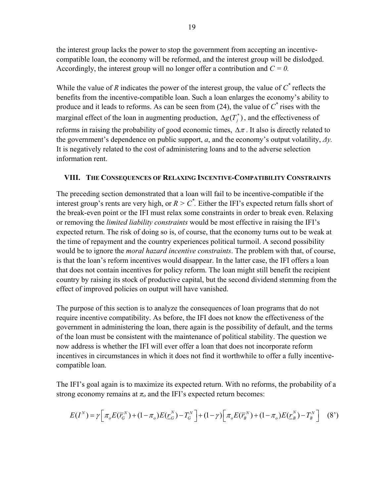the interest group lacks the power to stop the government from accepting an incentivecompatible loan, the economy will be reformed, and the interest group will be dislodged. Accordingly, the interest group will no longer offer a contribution and  $C = 0$ .

While the value of *R* indicates the power of the interest group, the value of *C\** reflects the benefits from the incentive-compatible loan. Such a loan enlarges the economy's ability to produce and it leads to reforms. As can be seen from  $(24)$ , the value of  $C^*$  rises with the marginal effect of the loan in augmenting production,  $\Delta g(T_j^*)$ , and the effectiveness of reforms in raising the probability of good economic times,  $\Delta \pi$ . It also is directly related to the government's dependence on public support, *a*, and the economy's output volatility, *Δy.* It is negatively related to the cost of administering loans and to the adverse selection information rent.

## **VIII. THE CONSEQUENCES OF RELAXING INCENTIVE-COMPATIBILITY CONSTRAINTS**

The preceding section demonstrated that a loan will fail to be incentive-compatible if the interest group's rents are very high, or  $R > C^*$ . Either the IFI's expected return falls short of the break-even point or the IFI must relax some constraints in order to break even. Relaxing or removing the *limited liability constraints* would be most effective in raising the IFI's expected return. The risk of doing so is, of course, that the economy turns out to be weak at the time of repayment and the country experiences political turmoil. A second possibility would be to ignore the *moral hazard incentive constraints*. The problem with that, of course, is that the loan's reform incentives would disappear. In the latter case, the IFI offers a loan that does not contain incentives for policy reform. The loan might still benefit the recipient country by raising its stock of productive capital, but the second dividend stemming from the effect of improved policies on output will have vanished.

The purpose of this section is to analyze the consequences of loan programs that do not require incentive compatibility. As before, the IFI does not know the effectiveness of the government in administering the loan, there again is the possibility of default, and the terms of the loan must be consistent with the maintenance of political stability. The question we now address is whether the IFI will ever offer a loan that does not incorporate reform incentives in circumstances in which it does not find it worthwhile to offer a fully incentivecompatible loan.

The IFI's goal again is to maximize its expected return. With no reforms, the probability of a strong economy remains at  $\pi$ <sup>0</sup> and the IFI's expected return becomes:

$$
E(I^N) = \gamma \Big[ \pi_o E(\overline{r}_G^N) + (1 - \pi_o) E(\underline{r}_G^N) - T_G^N \Big] + (1 - \gamma) \Big[ \pi_o E(\overline{r}_B^N) + (1 - \pi_o) E(\underline{r}_B^N) - T_B^N \Big] \tag{8'}
$$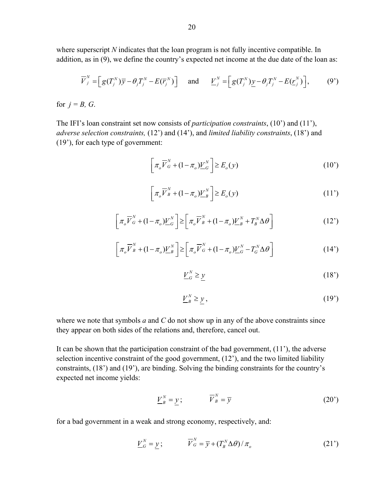where superscript *N* indicates that the loan program is not fully incentive compatible. In addition, as in (9), we define the country's expected net income at the due date of the loan as:

$$
\overline{V}_{j}^{N} = \left[ g(T_{j}^{N}) \overline{y} - \theta_{j} T_{j}^{N} - E(\overline{r}_{j}^{N}) \right] \text{ and } \underline{V}_{j}^{N} = \left[ g(T_{j}^{N}) \underline{y} - \theta_{j} T_{j}^{N} - E(\underline{r}_{j}^{N}) \right], \qquad (9')
$$

for  $j = B$ ,  $G$ .

The IFI's loan constraint set now consists of *participation constraints*, (10') and (11'), *adverse selection constraints,* (12') and (14'), and *limited liability constraints*, (18') and (19'), for each type of government:

$$
\left[\pi_o \overline{V}_G^N + (1 - \pi_o) \underline{V}_G^N\right] \ge E_o(y) \tag{10'}
$$

$$
\left[\pi_o \overline{V}_B^N + (1 - \pi_o) \underline{V}_B^N\right] \ge E_o(y) \tag{11'}
$$

$$
\left[\pi_o \overline{V}_{G}^{N} + (1 - \pi_o) \underline{V}_{G}^{N}\right] \ge \left[\pi_o \overline{V}_{B}^{N} + (1 - \pi_o) \underline{V}_{B}^{N} + T_{B}^{N} \Delta \theta\right]
$$
\n(12')

$$
\left[\pi_o \overline{V}_B^N + (1 - \pi_o) \underline{V}_B^N\right] \ge \left[\pi_o \overline{V}_G^N + (1 - \pi_o) \underline{V}_G^N - T_o^N \Delta \theta\right]
$$
\n(14')

$$
\underline{V}_G^N \ge \underline{y} \tag{18'}
$$

$$
\underline{V}_B^N \ge \mathbf{y},\tag{19'}
$$

where we note that symbols *a* and *C* do not show up in any of the above constraints since they appear on both sides of the relations and, therefore, cancel out.

It can be shown that the participation constraint of the bad government, (11'), the adverse selection incentive constraint of the good government, (12'), and the two limited liability constraints, (18') and (19'), are binding. Solving the binding constraints for the country's expected net income yields:

$$
\underline{V}_B^N = \underline{y}; \qquad \qquad \overline{V}_B^N = \overline{y}
$$
 (20')

for a bad government in a weak and strong economy, respectively, and:

$$
\underline{V}_{G}^{N} = \underline{y}; \qquad \overline{V}_{G}^{N} = \overline{y} + (T_{B}^{N} \Delta \theta) / \pi_{o}
$$
 (21')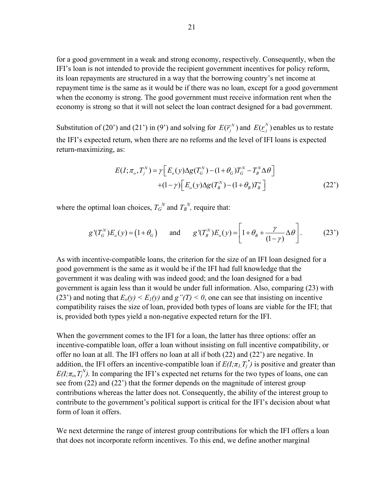for a good government in a weak and strong economy, respectively. Consequently, when the IFI's loan is not intended to provide the recipient government incentives for policy reform, its loan repayments are structured in a way that the borrowing country's net income at repayment time is the same as it would be if there was no loan, except for a good government when the economy is strong. The good government must receive information rent when the economy is strong so that it will not select the loan contract designed for a bad government.

Substitution of (20') and (21') in (9') and solving for  $E(\overline{r_i}^N)$  and  $E(\underline{r_i}^N)$  enables us to restate the IFI's expected return, when there are no reforms and the level of IFI loans is expected return-maximizing, as:

$$
E(I; \pi_o, T_j^N) = \gamma \Big[ E_o(y) \Delta g(T_o^N) - (1 + \theta_G) T_o^N - T_B^N \Delta \theta \Big] + (1 - \gamma) \Big[ E_o(y) \Delta g(T_b^N) - (1 + \theta_B) T_o^o \Big]
$$
(22')

where the optimal loan choices,  $T_G^N$  and  $T_B^N$ , require that:

$$
g'(T_G^N)E_o(y) = (1+\theta_G) \quad \text{and} \quad g'(T_B^N)E_o(y) = \left[1+\theta_B + \frac{\gamma}{(1-\gamma)}\Delta\theta\right]. \tag{23'}
$$

As with incentive-compatible loans, the criterion for the size of an IFI loan designed for a good government is the same as it would be if the IFI had full knowledge that the government it was dealing with was indeed good; and the loan designed for a bad government is again less than it would be under full information. Also, comparing (23) with (23<sup>'</sup>) and noting that  $E_o(y) \le E_1(y)$  and  $g''(T) \le 0$ , one can see that insisting on incentive compatibility raises the size of loan, provided both types of loans are viable for the IFI; that is, provided both types yield a non-negative expected return for the IFI.

When the government comes to the IFI for a loan, the latter has three options: offer an incentive-compatible loan, offer a loan without insisting on full incentive compatibility, or offer no loan at all. The IFI offers no loan at all if both (22) and (22') are negative. In addition, the IFI offers an incentive-compatible loan if  $E(I; \pi_I, T_j^*)$  is positive and greater than  $E(I; \pi_o, T_j^N)$ . In comparing the IFI's expected net returns for the two types of loans, one can see from (22) and (22') that the former depends on the magnitude of interest group contributions whereas the latter does not. Consequently, the ability of the interest group to contribute to the government's political support is critical for the IFI's decision about what form of loan it offers.

We next determine the range of interest group contributions for which the IFI offers a loan that does not incorporate reform incentives. To this end, we define another marginal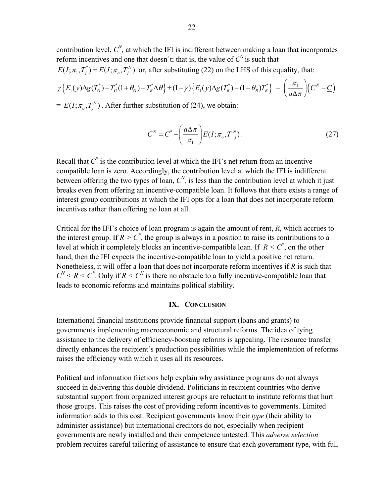contribution level,  $C^N$ , at which the IFI is indifferent between making a loan that incorporates reform incentives and one that doesn't; that is, the value of  $C^N$  is such that

 $E(I; \pi_1, T_i^*) = E(I; \pi_0, T_i^N)$  or, after substituting (22) on the LHS of this equality, that:

$$
\gamma \Big\{ E_1(y) \Delta g(T^*_G) - T^*_G(1+\theta_G) - T^*_B \Delta \theta \Big\} + (1-\gamma) \Big\{ E_1(y) \Delta g(T^*_B) - (1+\theta_B) T^*_B \Big\} - \left( \frac{\pi_1}{a \Delta \pi} \right) \Big( C^N - \underline{C} \Big)
$$

 $= E(I; \pi_o, T_i^N)$ . After further substitution of (24), we obtain:

$$
C^N = C^* - \left(\frac{a\Delta\pi}{\pi_1}\right) E(I; \pi_o, T^N).
$$
 (27)

Recall that  $C^*$  is the contribution level at which the IFI's net return from an incentivecompatible loan is zero. Accordingly, the contribution level at which the IFI is indifferent between offering the two types of loan,  $C^N$ , is less than the contribution level at which it just breaks even from offering an incentive-compatible loan. It follows that there exists a range of interest group contributions at which the IFI opts for a loan that does not incorporate reform incentives rather than offering no loan at all.

Critical for the IFI's choice of loan program is again the amount of rent, *R*, which accrues to the interest group. If  $R > C^*$ , the group is always in a position to raise its contributions to a level at which it completely blocks an incentive-compatible loan. If  $R \leq C^*$ , on the other hand, then the IFI expects the incentive-compatible loan to yield a positive net return. Nonetheless, it will offer a loan that does not incorporate reform incentives if *R* is such that  $C^N$  <  $R$  <  $C^*$ . Only if  $R \leq C^N$  is there no obstacle to a fully incentive-compatible loan that leads to economic reforms and maintains political stability.

### **IX. CONCLUSION**

International financial institutions provide financial support (loans and grants) to governments implementing macroeconomic and structural reforms. The idea of tying assistance to the delivery of efficiency-boosting reforms is appealing. The resource transfer directly enhances the recipient's production possibilities while the implementation of reforms raises the efficiency with which it uses all its resources.

Political and information frictions help explain why assistance programs do not always succeed in delivering this double dividend. Politicians in recipient countries who derive substantial support from organized interest groups are reluctant to institute reforms that hurt those groups. This raises the cost of providing reform incentives to governments. Limited information adds to this cost. Recipient governments know their *type* (their ability to administer assistance) but international creditors do not, especially when recipient governments are newly installed and their competence untested. This *adverse selection* problem requires careful tailoring of assistance to ensure that each government type, with full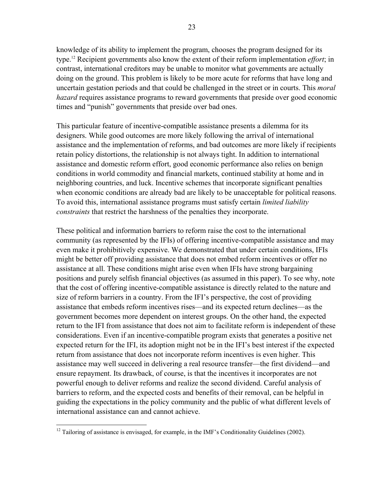knowledge of its ability to implement the program, chooses the program designed for its type.12 Recipient governments also know the extent of their reform implementation *effort*; in contrast, international creditors may be unable to monitor what governments are actually doing on the ground. This problem is likely to be more acute for reforms that have long and uncertain gestation periods and that could be challenged in the street or in courts. This *moral hazard* requires assistance programs to reward governments that preside over good economic times and "punish" governments that preside over bad ones.

This particular feature of incentive-compatible assistance presents a dilemma for its designers. While good outcomes are more likely following the arrival of international assistance and the implementation of reforms, and bad outcomes are more likely if recipients retain policy distortions, the relationship is not always tight. In addition to international assistance and domestic reform effort, good economic performance also relies on benign conditions in world commodity and financial markets, continued stability at home and in neighboring countries, and luck. Incentive schemes that incorporate significant penalties when economic conditions are already bad are likely to be unacceptable for political reasons. To avoid this, international assistance programs must satisfy certain *limited liability constraints* that restrict the harshness of the penalties they incorporate.

These political and information barriers to reform raise the cost to the international community (as represented by the IFIs) of offering incentive-compatible assistance and may even make it prohibitively expensive. We demonstrated that under certain conditions, IFIs might be better off providing assistance that does not embed reform incentives or offer no assistance at all. These conditions might arise even when IFIs have strong bargaining positions and purely selfish financial objectives (as assumed in this paper). To see why, note that the cost of offering incentive-compatible assistance is directly related to the nature and size of reform barriers in a country. From the IFI's perspective, the cost of providing assistance that embeds reform incentives rises—and its expected return declines—as the government becomes more dependent on interest groups. On the other hand, the expected return to the IFI from assistance that does not aim to facilitate reform is independent of these considerations. Even if an incentive-compatible program exists that generates a positive net expected return for the IFI, its adoption might not be in the IFI's best interest if the expected return from assistance that does not incorporate reform incentives is even higher. This assistance may well succeed in delivering a real resource transfer—the first dividend—and ensure repayment. Its drawback, of course, is that the incentives it incorporates are not powerful enough to deliver reforms and realize the second dividend. Careful analysis of barriers to reform, and the expected costs and benefits of their removal, can be helpful in guiding the expectations in the policy community and the public of what different levels of international assistance can and cannot achieve.

 $\overline{a}$ 

 $12$  Tailoring of assistance is envisaged, for example, in the IMF's Conditionality Guidelines (2002).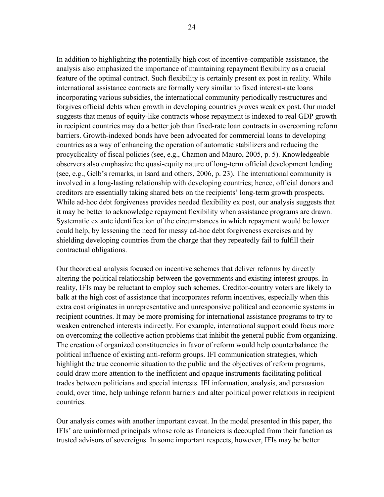In addition to highlighting the potentially high cost of incentive-compatible assistance, the analysis also emphasized the importance of maintaining repayment flexibility as a crucial feature of the optimal contract. Such flexibility is certainly present ex post in reality. While international assistance contracts are formally very similar to fixed interest-rate loans incorporating various subsidies, the international community periodically restructures and forgives official debts when growth in developing countries proves weak ex post. Our model suggests that menus of equity-like contracts whose repayment is indexed to real GDP growth in recipient countries may do a better job than fixed-rate loan contracts in overcoming reform barriers. Growth-indexed bonds have been advocated for commercial loans to developing countries as a way of enhancing the operation of automatic stabilizers and reducing the procyclicality of fiscal policies (see, e.g., Chamon and Mauro, 2005, p. 5). Knowledgeable observers also emphasize the quasi-equity nature of long-term official development lending (see, e.g., Gelb's remarks, in Isard and others, 2006, p. 23). The international community is involved in a long-lasting relationship with developing countries; hence, official donors and creditors are essentially taking shared bets on the recipients' long-term growth prospects. While ad-hoc debt forgiveness provides needed flexibility ex post, our analysis suggests that it may be better to acknowledge repayment flexibility when assistance programs are drawn. Systematic ex ante identification of the circumstances in which repayment would be lower could help, by lessening the need for messy ad-hoc debt forgiveness exercises and by shielding developing countries from the charge that they repeatedly fail to fulfill their contractual obligations.

Our theoretical analysis focused on incentive schemes that deliver reforms by directly altering the political relationship between the governments and existing interest groups. In reality, IFIs may be reluctant to employ such schemes. Creditor-country voters are likely to balk at the high cost of assistance that incorporates reform incentives, especially when this extra cost originates in unrepresentative and unresponsive political and economic systems in recipient countries. It may be more promising for international assistance programs to try to weaken entrenched interests indirectly. For example, international support could focus more on overcoming the collective action problems that inhibit the general public from organizing. The creation of organized constituencies in favor of reform would help counterbalance the political influence of existing anti-reform groups. IFI communication strategies, which highlight the true economic situation to the public and the objectives of reform programs, could draw more attention to the inefficient and opaque instruments facilitating political trades between politicians and special interests. IFI information, analysis, and persuasion could, over time, help unhinge reform barriers and alter political power relations in recipient countries.

Our analysis comes with another important caveat. In the model presented in this paper, the IFIs' are uninformed principals whose role as financiers is decoupled from their function as trusted advisors of sovereigns. In some important respects, however, IFIs may be better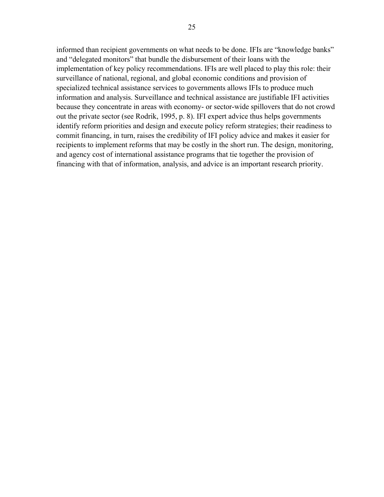informed than recipient governments on what needs to be done. IFIs are "knowledge banks" and "delegated monitors" that bundle the disbursement of their loans with the implementation of key policy recommendations. IFIs are well placed to play this role: their surveillance of national, regional, and global economic conditions and provision of specialized technical assistance services to governments allows IFIs to produce much information and analysis. Surveillance and technical assistance are justifiable IFI activities because they concentrate in areas with economy- or sector-wide spillovers that do not crowd out the private sector (see Rodrik, 1995, p. 8). IFI expert advice thus helps governments identify reform priorities and design and execute policy reform strategies; their readiness to commit financing, in turn, raises the credibility of IFI policy advice and makes it easier for recipients to implement reforms that may be costly in the short run. The design, monitoring, and agency cost of international assistance programs that tie together the provision of financing with that of information, analysis, and advice is an important research priority.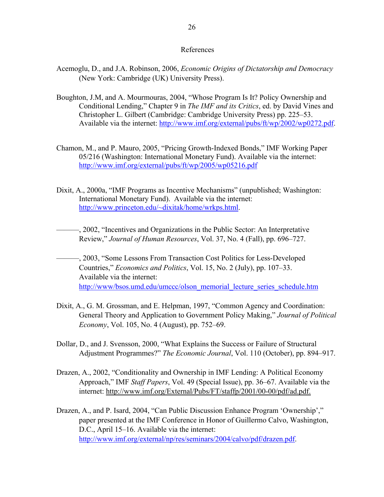#### References

- Acemoglu, D., and J.A. Robinson, 2006, *Economic Origins of Dictatorship and Democracy* (New York: Cambridge (UK) University Press).
- Boughton, J.M, and A. Mourmouras, 2004, "Whose Program Is It? Policy Ownership and Conditional Lending," Chapter 9 in *The IMF and its Critics*, ed. by David Vines and Christopher L. Gilbert (Cambridge: Cambridge University Press) pp. 225–53. Available via the internet: http://www.imf.org/external/pubs/ft/wp/2002/wp0272.pdf.
- Chamon, M., and P. Mauro, 2005, "Pricing Growth-Indexed Bonds," IMF Working Paper 05/216 (Washington: International Monetary Fund). Available via the internet: http://www.imf.org/external/pubs/ft/wp/2005/wp05216.pdf
- Dixit, A., 2000a, "IMF Programs as Incentive Mechanisms" (unpublished; Washington: International Monetary Fund). Available via the internet: http://www.princeton.edu/~dixitak/home/wrkps.html.
- ———, 2002, "Incentives and Organizations in the Public Sector: An Interpretative Review," *Journal of Human Resources*, Vol. 37, No. 4 (Fall), pp. 696–727.
- ———, 2003, "Some Lessons From Transaction Cost Politics for Less-Developed Countries," *Economics and Politics*, Vol. 15, No. 2 (July), pp. 107–33. Available via the internet: http://www/bsos.umd.edu/umccc/olson\_memorial\_lecture\_series\_schedule.htm
- Dixit, A., G. M. Grossman, and E. Helpman, 1997, "Common Agency and Coordination: General Theory and Application to Government Policy Making," *Journal of Political Economy*, Vol. 105, No. 4 (August), pp. 752–69.
- Dollar, D., and J. Svensson, 2000, "What Explains the Success or Failure of Structural Adjustment Programmes?" *The Economic Journal*, Vol. 110 (October), pp. 894–917.
- Drazen, A., 2002, "Conditionality and Ownership in IMF Lending: A Political Economy Approach," IMF *Staff Papers*, Vol. 49 (Special Issue), pp. 36–67. Available via the internet: http://www.imf.org/External/Pubs/FT/staffp/2001/00-00/pdf/ad.pdf.
- Drazen, A., and P. Isard, 2004, "Can Public Discussion Enhance Program 'Ownership'," paper presented at the IMF Conference in Honor of Guillermo Calvo, Washington, D.C., April 15–16. Available via the internet: http://www.imf.org/external/np/res/seminars/2004/calvo/pdf/drazen.pdf.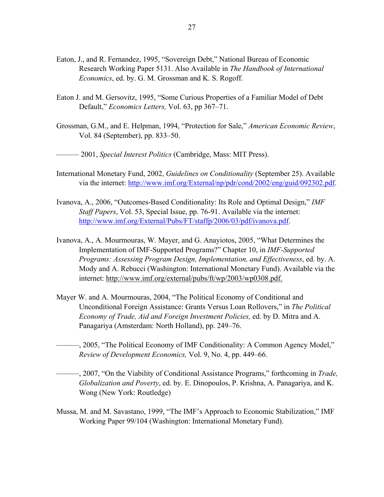- Eaton, J., and R. Fernandez, 1995, "Sovereign Debt," National Bureau of Economic Research Working Paper 5131. Also Available in *The Handbook of International Economics*, ed. by. G. M. Grossman and K. S. Rogoff.
- Eaton J. and M. Gersovitz, 1995, "Some Curious Properties of a Familiar Model of Debt Default," *Economics Letters,* Vol. 63, pp 367–71.
- Grossman, G.M., and E. Helpman, 1994, "Protection for Sale," *American Economic Review*, Vol. 84 (September), pp. 833–50.

——— 2001, *Special Interest Politics* (Cambridge, Mass: MIT Press).

- International Monetary Fund, 2002, *Guidelines on Conditionality* (September 25). Available via the internet: http://www.imf.org/External/np/pdr/cond/2002/eng/guid/092302.pdf.
- Ivanova, A., 2006, "Outcomes-Based Conditionality: Its Role and Optimal Design," *IMF Staff Papers*, Vol. 53, Special Issue, pp. 76-91. Available via the internet: http://www.imf.org/External/Pubs/FT/staffp/2006/03/pdf/ivanova.pdf.
- Ivanova, A., A. Mourmouras, W. Mayer, and G. Anayiotos, 2005, "What Determines the Implementation of IMF-Supported Programs?" Chapter 10, in *IMF-Supported Programs: Assessing Program Design, Implementation, and Effectiveness*, ed. by. A. Mody and A. Rebucci (Washington: International Monetary Fund). Available via the internet: http://www.imf.org/external/pubs/ft/wp/2003/wp0308.pdf.
- Mayer W. and A. Mourmouras, 2004, "The Political Economy of Conditional and Unconditional Foreign Assistance: Grants Versus Loan Rollovers," in *The Political Economy of Trade, Aid and Foreign Investment Policies,* ed. by D. Mitra and A. Panagariya (Amsterdam: North Holland), pp. 249–76.
- ———, 2005, "The Political Economy of IMF Conditionality: A Common Agency Model," *Review of Development Economics,* Vol. 9, No. 4, pp. 449–66.
- ———, 2007, "On the Viability of Conditional Assistance Programs," forthcoming in *Trade, Globalization and Poverty*, ed. by. E. Dinopoulos, P. Krishna, A. Panagariya, and K. Wong (New York: Routledge)
- Mussa, M. and M. Savastano, 1999, "The IMF's Approach to Economic Stabilization," IMF Working Paper 99/104 (Washington: International Monetary Fund).